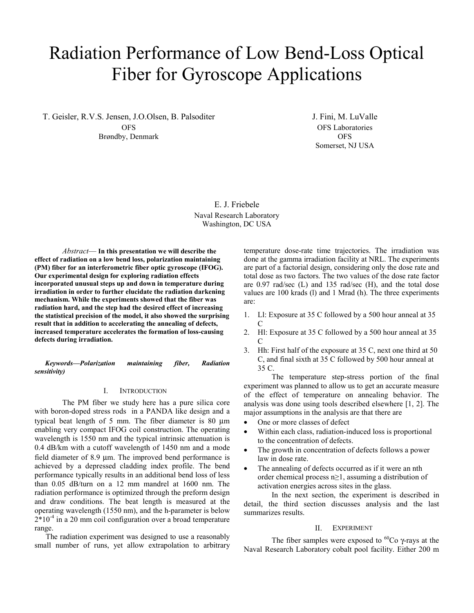# Radiation Performance of Low Bend-Loss Optical Fiber for Gyroscope Applications

T. Geisler, R.V.S. Jensen, J.O.Olsen, B. Palsoditer **OFS** Brøndby, Denmark

J. Fini, M. LuValle OFS Laboratories OFS Somerset, NJ USA

E. J. Friebele Naval Research Laboratory Washington, DC USA

*Abstract*— **In this presentation we will describe the effect of radiation on a low bend loss, polarization maintaining (PM) fiber for an interferometric fiber optic gyroscope (IFOG). Our experimental design for exploring radiation effects incorporated unusual steps up and down in temperature during irradiation in order to further elucidate the radiation darkening mechanism. While the experiments showed that the fiber was radiation hard, and the step had the desired effect of increasing the statistical precision of the model, it also showed the surprising result that in addition to accelerating the annealing of defects, increased temperature accelerates the formation of loss-causing defects during irradiation.**

*Keywords—Polarization maintaining fiber, Radiation sensitivity)* 

#### I. INTRODUCTION

The PM fiber we study here has a pure silica core with boron-doped stress rods in a PANDA like design and a typical beat length of 5 mm. The fiber diameter is 80 μm enabling very compact IFOG coil construction. The operating wavelength is 1550 nm and the typical intrinsic attenuation is 0.4 dB/km with a cutoff wavelength of 1450 nm and a mode field diameter of 8.9 μm. The improved bend performance is achieved by a depressed cladding index profile. The bend performance typically results in an additional bend loss of less than 0.05 dB/turn on a 12 mm mandrel at 1600 nm. The radiation performance is optimized through the preform design and draw conditions. The beat length is measured at the operating wavelength (1550 nm), and the h-parameter is below  $2*10<sup>-4</sup>$  in a 20 mm coil configuration over a broad temperature range.

The radiation experiment was designed to use a reasonably small number of runs, yet allow extrapolation to arbitrary

temperature dose-rate time trajectories. The irradiation was done at the gamma irradiation facility at NRL. The experiments are part of a factorial design, considering only the dose rate and total dose as two factors. The two values of the dose rate factor are 0.97 rad/sec (L) and 135 rad/sec (H), and the total dose values are 100 krads (l) and 1 Mrad (h). The three experiments are:

- 1. Ll: Exposure at 35 C followed by a 500 hour anneal at 35 C
- 2. Hl: Exposure at 35 C followed by a 500 hour anneal at 35  $\mathcal{C}_{0}^{(n)}$
- 3. Hh: First half of the exposure at 35 C, next one third at 50 C, and final sixth at 35 C followed by 500 hour anneal at 35 C.

The temperature step-stress portion of the final experiment was planned to allow us to get an accurate measure of the effect of temperature on annealing behavior. The analysis was done using tools described elsewhere [1, 2]. The major assumptions in the analysis are that there are

- One or more classes of defect
- Within each class, radiation-induced loss is proportional to the concentration of defects.
- The growth in concentration of defects follows a power law in dose rate.
- The annealing of defects occurred as if it were an nth order chemical process n≥1, assuming a distribution of activation energies across sites in the glass.

In the next section, the experiment is described in detail, the third section discusses analysis and the last summarizes results.

## II. EXPERIMENT

The fiber samples were exposed to  ${}^{60}Co$  γ-rays at the Naval Research Laboratory cobalt pool facility. Either 200 m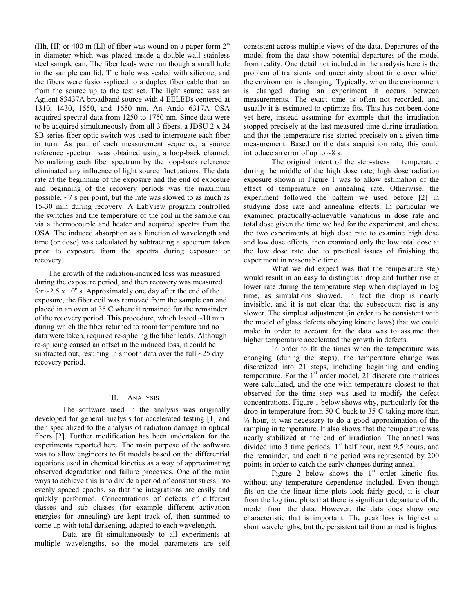(Hh, Hl) or 400 m (Ll) of fiber was wound on a paper form 2" in diameter which was placed inside a double-wall stainless steel sample can. The fiber leads were run though a small hole in the sample can lid. The hole was sealed with silicone, and the fibers were fusion-spliced to a duplex fiber cable that ran from the source up to the test set. The light source was an Agilent 83437A broadband source with 4 EELEDs centered at 1310, 1430, 1550, and 1650 nm. An Ando 6317A OSA acquired spectral data from 1250 to 1750 nm. Since data were to be acquired simultaneously from all 3 fibers, a JDSU 2 x 24 SB series fiber optic switch was used to interrogate each fiber in turn. As part of each measurement sequence, a source reference spectrum was obtained using a loop-back channel. Normalizing each fiber spectrum by the loop-back reference eliminated any influence of light source fluctuations. The data rate at the beginning of the exposure and the end of exposure and beginning of the recovery periods was the maximum possible, ~7 s per point, but the rate was slowed to as much as 15-30 min during recovery. A LabView program controlled the switches and the temperature of the coil in the sample can via a thermocouple and heater and acquired spectra from the OSA. The induced absorption as a function of wavelength and time (or dose) was calculated by subtracting a spectrum taken prior to exposure from the spectra during exposure or recovery.

The growth of the radiation-induced loss was measured during the exposure period, and then recovery was measured for  $\sim$ 2.5 x 10<sup> $\delta$ </sup> s. Approximately one day after the end of the exposure, the fiber coil was removed from the sample can and placed in an oven at 35 C where it remained for the remainder of the recovery period. This procedure, which lasted  $\sim$ 10 min during which the fiber returned to room temperature and no data were taken, required re-splicing the fiber leads. Although re-splicing caused an offset in the induced loss, it could be subtracted out, resulting in smooth data over the full  $\sim$ 25 day recovery period.

## III. ANALYSIS

The software used in the analysis was originally developed for general analysis for accelerated testing [1] and then specialized to the analysis of radiation damage in optical fibers [2]. Further modification has been undertaken for the experiments reported here. The main purpose of the software was to allow engineers to fit models based on the differential equations used in chemical kinetics as a way of approximating observed degradation and failure processes. One of the main ways to achieve this is to divide a period of constant stress into evenly spaced epochs, so that the integrations are easily and quickly performed. Concentrations of defects of different classes and sub classes (for example different activation energies for annealing) are kept track of, then summed to come up with total darkening, adapted to each wavelength.

Data are fit simultaneously to all experiments at multiple wavelengths, so the model parameters are self consistent across multiple views of the data. Departures of the model from the data show potential departures of the model from reality. One detail not included in the analysis here is the problem of transients and uncertainty about time over which the environment is changing. Typically, when the environment is changed during an experiment it occurs between measurements. The exact time is often not recorded, and usually it is estimated to optimize fits. This has not been done yet here, instead assuming for example that the irradiation stopped precisely at the last measured time during irradiation, and that the temperature rise started precisely on a given time measurement. Based on the data acquisition rate, this could introduce an error of up to  $\sim$ 8 s.

The original intent of the step-stress in temperature during the middle of the high dose rate, high dose radiation exposure shown in Figure 1 was to allow estimation of the effect of temperature on annealing rate. Otherwise, the experiment followed the pattern we used before [2] in studying dose rate and annealing effects. In particular we examined practically-achievable variations in dose rate and total dose given the time we had for the experiment, and chose the two experiments at high dose rate to examine high dose and low dose effects, then examined only the low total dose at the low dose rate due to practical issues of finishing the experiment in reasonable time.

What we did expect was that the temperature step would result in an easy to distinguish drop and further rise at lower rate during the temperature step when displayed in log time, as simulations showed. In fact the drop is nearly invisible, and it is not clear that the subsequent rise is any slower. The simplest adjustment (in order to be consistent with the model of glass defects obeying kinetic laws) that we could make in order to account for the data was to assume that higher temperature accelerated the growth in defects.

In order to fit the times when the temperature was changing (during the steps), the temperature change was discretized into 21 steps, including beginning and ending temperature. For the  $1<sup>st</sup>$  order model, 21 discrete rate matrices were calculated, and the one with temperature closest to that observed for the time step was used to modify the defect concentrations. Figure 1 below shows why, particularly for the drop in temperature from 50 C back to 35 C taking more than  $\frac{1}{2}$  hour, it was necessary to do a good approximation of the ramping in temperature. It also shows that the temperature was nearly stabilized at the end of irradiation. The anneal was divided into 3 time periods:  $1<sup>st</sup>$  half hour, next 9.5 hours, and the remainder, and each time period was represented by 200 points in order to catch the early changes during anneal.

Figure 2 below shows the  $1<sup>st</sup>$  order kinetic fits, without any temperature dependence included. Even though fits on the the linear time plots look fairly good, it is clear from the log time plots that there is significant departure of the model from the data. However, the data does show one characteristic that is important. The peak loss is highest at short wavelengths, but the persistent tail from anneal is highest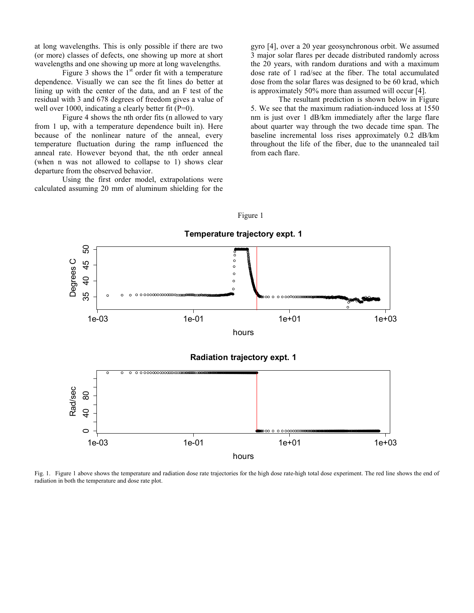at long wavelengths. This is only possible if there are two (or more) classes of defects, one showing up more at short wavelengths and one showing up more at long wavelengths.

Figure 3 shows the  $1<sup>st</sup>$  order fit with a temperature dependence. Visually we can see the fit lines do better at lining up with the center of the data, and an F test of the residual with 3 and 678 degrees of freedom gives a value of well over 1000, indicating a clearly better fit (P=0).

Figure 4 shows the nth order fits (n allowed to vary from 1 up, with a temperature dependence built in). Here because of the nonlinear nature of the anneal, every temperature fluctuation during the ramp influenced the anneal rate. However beyond that, the nth order anneal (when n was not allowed to collapse to 1) shows clear departure from the observed behavior.

Using the first order model, extrapolations were calculated assuming 20 mm of aluminum shielding for the gyro [4], over a 20 year geosynchronous orbit. We assumed 3 major solar flares per decade distributed randomly across the 20 years, with random durations and with a maximum dose rate of 1 rad/sec at the fiber. The total accumulated dose from the solar flares was designed to be 60 krad, which is approximately 50% more than assumed will occur [4].

The resultant prediction is shown below in Figure 5. We see that the maximum radiation-induced loss at 1550 nm is just over 1 dB/km immediately after the large flare about quarter way through the two decade time span. The baseline incremental loss rises approximately 0.2 dB/km throughout the life of the fiber, due to the unannealed tail from each flare.

Figure 1



Fig. 1. Figure 1 above shows the temperature and radiation dose rate trajectories for the high dose rate-high total dose experiment. The red line shows the end of radiation in both the temperature and dose rate plot.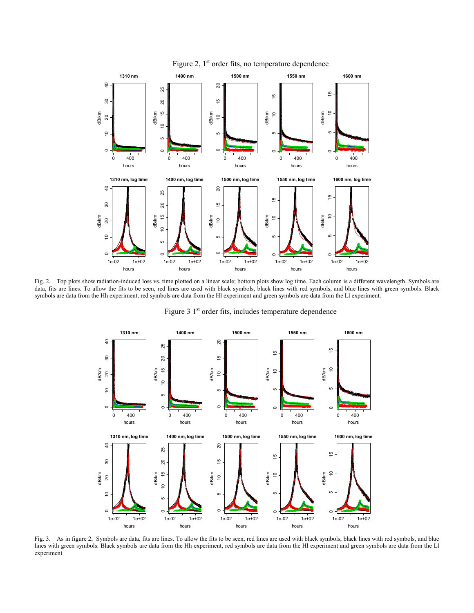

Fig. 2. Top plots show radiation-induced loss vs. time plotted on a linear scale; bottom plots show log time. Each column is a different wavelength. Symbols are data, fits are lines. To allow the fits to be seen, red lines are used with black symbols, black lines with red symbols, and blue lines with green symbols. Black symbols are data from the Hh experiment, red symbols are data from the Hl experiment and green symbols are data from the Ll experiment.

Figure  $31<sup>st</sup>$  order fits, includes temperature dependence



Fig. 3. As in figure 2, Symbols are data, fits are lines. To allow the fits to be seen, red lines are used with black symbols, black lines with red symbols, and blue lines with green symbols. Black symbols are data from the Hh experiment, red symbols are data from the Hl experiment and green symbols are data from the Ll experiment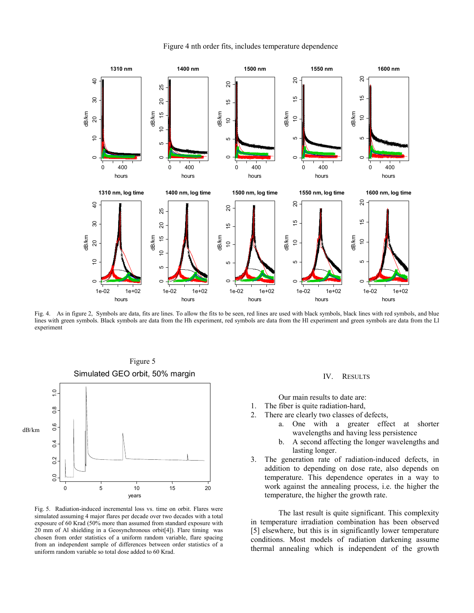

#### Figure 4 nth order fits, includes temperature dependence

Fig. 4. As in figure 2, Symbols are data, fits are lines. To allow the fits to be seen, red lines are used with black symbols, black lines with red symbols, and blue lines with green symbols. Black symbols are data from the Hh experiment, red symbols are data from the Hl experiment and green symbols are data from the Ll experiment



Fig. 5. Radiation-induced incremental loss vs. time on orbit. Flares were simulated assuming 4 major flares per decade over two decades with a total exposure of 60 Krad (50% more than assumed from standard exposure with 20 mm of Al shielding in a Geosynchronous orbit[4]). Flare timing was chosen from order statistics of a uniform random variable, flare spacing from an independent sample of differences between order statistics of a uniform random variable so total dose added to 60 Krad.

## IV. RESULTS

Our main results to date are:

- 1. The fiber is quite radiation-hard,
- 2. There are clearly two classes of defects,
	- a. One with a greater effect at shorter wavelengths and having less persistence
	- b. A second affecting the longer wavelengths and lasting longer.
- 3. The generation rate of radiation-induced defects, in addition to depending on dose rate, also depends on temperature. This dependence operates in a way to work against the annealing process, i.e. the higher the temperature, the higher the growth rate.

The last result is quite significant. This complexity in temperature irradiation combination has been observed [5] elsewhere, but this is in significantly lower temperature conditions. Most models of radiation darkening assume thermal annealing which is independent of the growth